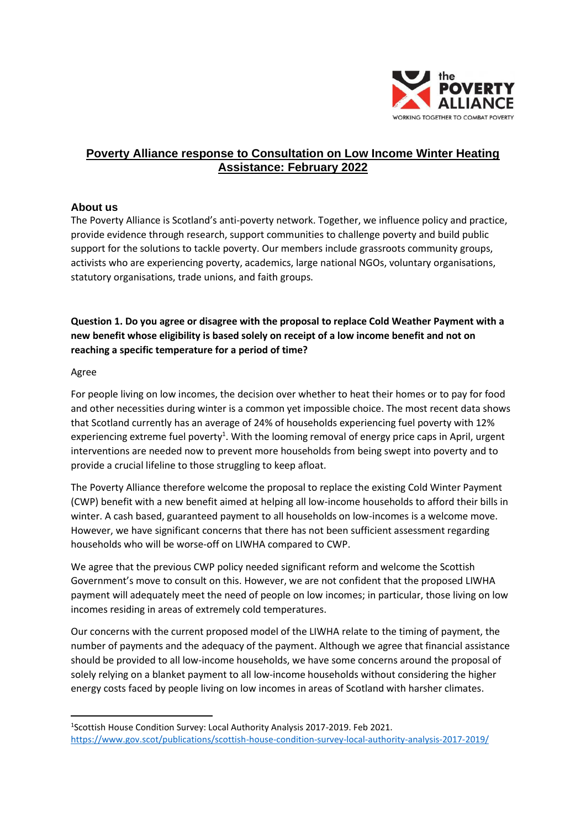

# **Poverty Alliance response to Consultation on Low Income Winter Heating Assistance: February 2022**

### **About us**

The Poverty Alliance is Scotland's anti-poverty network. Together, we influence policy and practice, provide evidence through research, support communities to challenge poverty and build public support for the solutions to tackle poverty. Our members include grassroots community groups, activists who are experiencing poverty, academics, large national NGOs, voluntary organisations, statutory organisations, trade unions, and faith groups.

**Question 1. Do you agree or disagree with the proposal to replace Cold Weather Payment with a new benefit whose eligibility is based solely on receipt of a low income benefit and not on reaching a specific temperature for a period of time?**

#### Agree

For people living on low incomes, the decision over whether to heat their homes or to pay for food and other necessities during winter is a common yet impossible choice. The most recent data shows that Scotland currently has an average of 24% of households experiencing fuel poverty with 12% experiencing extreme fuel poverty<sup>1</sup>. With the looming removal of energy price caps in April, urgent interventions are needed now to prevent more households from being swept into poverty and to provide a crucial lifeline to those struggling to keep afloat.

The Poverty Alliance therefore welcome the proposal to replace the existing Cold Winter Payment (CWP) benefit with a new benefit aimed at helping all low-income households to afford their bills in winter. A cash based, guaranteed payment to all households on low-incomes is a welcome move. However, we have significant concerns that there has not been sufficient assessment regarding households who will be worse-off on LIWHA compared to CWP.

We agree that the previous CWP policy needed significant reform and welcome the Scottish Government's move to consult on this. However, we are not confident that the proposed LIWHA payment will adequately meet the need of people on low incomes; in particular, those living on low incomes residing in areas of extremely cold temperatures.

Our concerns with the current proposed model of the LIWHA relate to the timing of payment, the number of payments and the adequacy of the payment. Although we agree that financial assistance should be provided to all low-income households, we have some concerns around the proposal of solely relying on a blanket payment to all low-income households without considering the higher energy costs faced by people living on low incomes in areas of Scotland with harsher climates.

<sup>&</sup>lt;sup>1</sup>Scottish House Condition Survey: Local Authority Analysis 2017-2019. Feb 2021. <https://www.gov.scot/publications/scottish-house-condition-survey-local-authority-analysis-2017-2019/>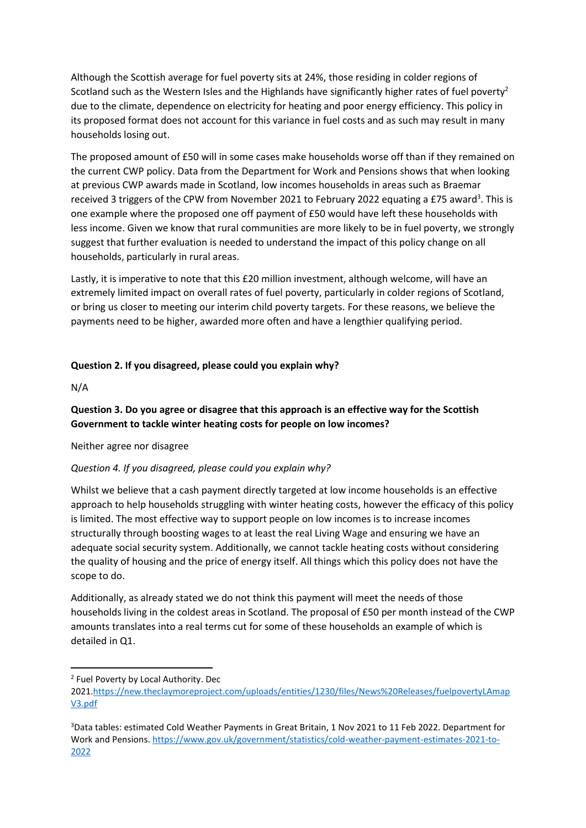Although the Scottish average for fuel poverty sits at 24%, those residing in colder regions of Scotland such as the Western Isles and the Highlands have significantly higher rates of fuel poverty<sup>2</sup> due to the climate, dependence on electricity for heating and poor energy efficiency. This policy in its proposed format does not account for this variance in fuel costs and as such may result in many households losing out.

The proposed amount of £50 will in some cases make households worse off than if they remained on the current CWP policy. Data from the Department for Work and Pensions shows that when looking at previous CWP awards made in Scotland, low incomes households in areas such as Braemar received 3 triggers of the CPW from November 2021 to February 2022 equating a £75 award<sup>3</sup>. This is one example where the proposed one off payment of £50 would have left these households with less income. Given we know that rural communities are more likely to be in fuel poverty, we strongly suggest that further evaluation is needed to understand the impact of this policy change on all households, particularly in rural areas.

Lastly, it is imperative to note that this £20 million investment, although welcome, will have an extremely limited impact on overall rates of fuel poverty, particularly in colder regions of Scotland, or bring us closer to meeting our interim child poverty targets. For these reasons, we believe the payments need to be higher, awarded more often and have a lengthier qualifying period.

#### **Question 2. If you disagreed, please could you explain why?**

N/A

### **Question 3. Do you agree or disagree that this approach is an effective way for the Scottish Government to tackle winter heating costs for people on low incomes?**

Neither agree nor disagree

### *Question 4. If you disagreed, please could you explain why?*

Whilst we believe that a cash payment directly targeted at low income households is an effective approach to help households struggling with winter heating costs, however the efficacy of this policy is limited. The most effective way to support people on low incomes is to increase incomes structurally through boosting wages to at least the real Living Wage and ensuring we have an adequate social security system. Additionally, we cannot tackle heating costs without considering the quality of housing and the price of energy itself. All things which this policy does not have the scope to do.

Additionally, as already stated we do not think this payment will meet the needs of those households living in the coldest areas in Scotland. The proposal of £50 per month instead of the CWP amounts translates into a real terms cut for some of these households an example of which is detailed in Q1.

<sup>&</sup>lt;sup>2</sup> Fuel Poverty by Local Authority. Dec

<sup>2021</sup>[.https://new.theclaymoreproject.com/uploads/entities/1230/files/News%20Releases/fuelpovertyLAmap](https://new.theclaymoreproject.com/uploads/entities/1230/files/News%20Releases/fuelpovertyLAmapV3.pdf) [V3.pdf](https://new.theclaymoreproject.com/uploads/entities/1230/files/News%20Releases/fuelpovertyLAmapV3.pdf)

<sup>3</sup>Data tables: estimated Cold Weather Payments in Great Britain, 1 Nov 2021 to 11 Feb 2022. Department for Work and Pensions. [https://www.gov.uk/government/statistics/cold-weather-payment-estimates-2021-to-](https://www.gov.uk/government/statistics/cold-weather-payment-estimates-2021-to-2022)[2022](https://www.gov.uk/government/statistics/cold-weather-payment-estimates-2021-to-2022)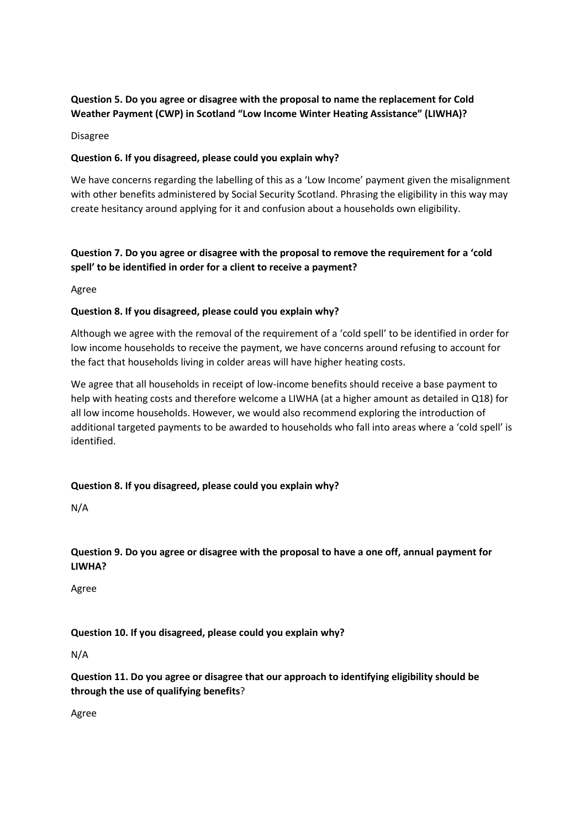# **Question 5. Do you agree or disagree with the proposal to name the replacement for Cold Weather Payment (CWP) in Scotland "Low Income Winter Heating Assistance" (LIWHA)?**

Disagree

### **Question 6. If you disagreed, please could you explain why?**

We have concerns regarding the labelling of this as a 'Low Income' payment given the misalignment with other benefits administered by Social Security Scotland. Phrasing the eligibility in this way may create hesitancy around applying for it and confusion about a households own eligibility.

# **Question 7. Do you agree or disagree with the proposal to remove the requirement for a 'cold spell' to be identified in order for a client to receive a payment?**

Agree

#### **Question 8. If you disagreed, please could you explain why?**

Although we agree with the removal of the requirement of a 'cold spell' to be identified in order for low income households to receive the payment, we have concerns around refusing to account for the fact that households living in colder areas will have higher heating costs.

We agree that all households in receipt of low-income benefits should receive a base payment to help with heating costs and therefore welcome a LIWHA (at a higher amount as detailed in Q18) for all low income households. However, we would also recommend exploring the introduction of additional targeted payments to be awarded to households who fall into areas where a 'cold spell' is identified.

### **Question 8. If you disagreed, please could you explain why?**

N/A

## **Question 9. Do you agree or disagree with the proposal to have a one off, annual payment for LIWHA?**

Agree

### **Question 10. If you disagreed, please could you explain why?**

N/A

**Question 11. Do you agree or disagree that our approach to identifying eligibility should be through the use of qualifying benefits**?

Agree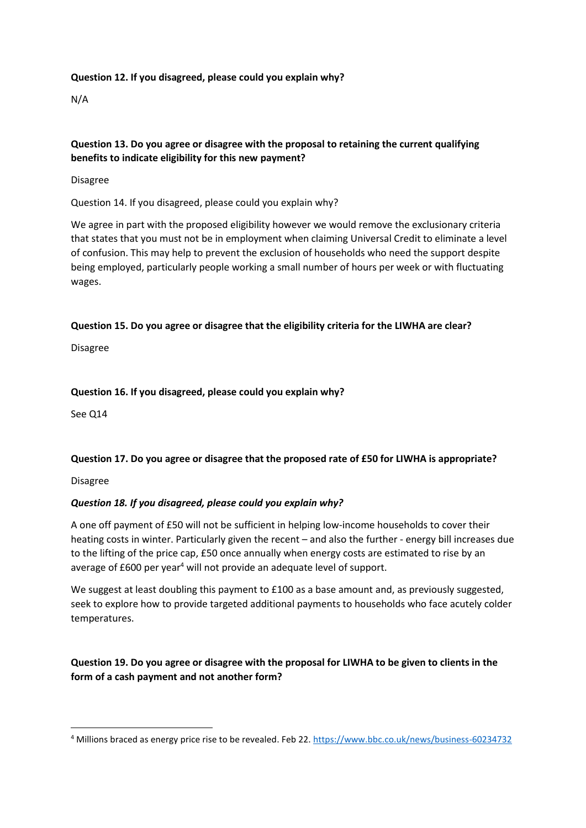### **Question 12. If you disagreed, please could you explain why?**

N/A

### **Question 13. Do you agree or disagree with the proposal to retaining the current qualifying benefits to indicate eligibility for this new payment?**

Disagree

Question 14. If you disagreed, please could you explain why?

We agree in part with the proposed eligibility however we would remove the exclusionary criteria that states that you must not be in employment when claiming Universal Credit to eliminate a level of confusion. This may help to prevent the exclusion of households who need the support despite being employed, particularly people working a small number of hours per week or with fluctuating wages.

#### **Question 15. Do you agree or disagree that the eligibility criteria for the LIWHA are clear?**

Disagree

#### **Question 16. If you disagreed, please could you explain why?**

See Q14

### **Question 17. Do you agree or disagree that the proposed rate of £50 for LIWHA is appropriate?**

Disagree

### *Question 18. If you disagreed, please could you explain why?*

A one off payment of £50 will not be sufficient in helping low-income households to cover their heating costs in winter. Particularly given the recent – and also the further - energy bill increases due to the lifting of the price cap, £50 once annually when energy costs are estimated to rise by an average of £600 per year<sup>4</sup> will not provide an adequate level of support.

We suggest at least doubling this payment to £100 as a base amount and, as previously suggested, seek to explore how to provide targeted additional payments to households who face acutely colder temperatures.

**Question 19. Do you agree or disagree with the proposal for LIWHA to be given to clients in the form of a cash payment and not another form?**

<sup>4</sup> Millions braced as energy price rise to be revealed. Feb 22.<https://www.bbc.co.uk/news/business-60234732>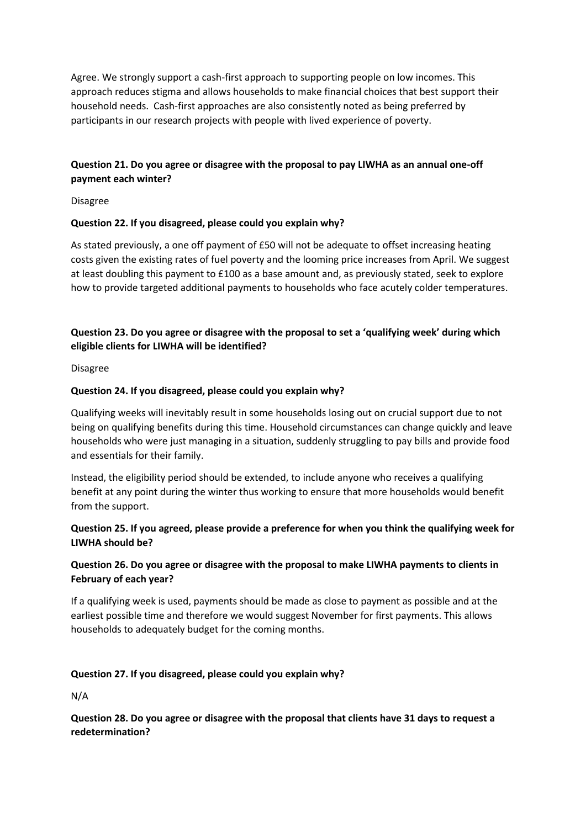Agree. We strongly support a cash-first approach to supporting people on low incomes. This approach reduces stigma and allows households to make financial choices that best support their household needs. Cash-first approaches are also consistently noted as being preferred by participants in our research projects with people with lived experience of poverty.

## **Question 21. Do you agree or disagree with the proposal to pay LIWHA as an annual one-off payment each winter?**

Disagree

### **Question 22. If you disagreed, please could you explain why?**

As stated previously, a one off payment of £50 will not be adequate to offset increasing heating costs given the existing rates of fuel poverty and the looming price increases from April. We suggest at least doubling this payment to £100 as a base amount and, as previously stated, seek to explore how to provide targeted additional payments to households who face acutely colder temperatures.

# **Question 23. Do you agree or disagree with the proposal to set a 'qualifying week' during which eligible clients for LIWHA will be identified?**

Disagree

#### **Question 24. If you disagreed, please could you explain why?**

Qualifying weeks will inevitably result in some households losing out on crucial support due to not being on qualifying benefits during this time. Household circumstances can change quickly and leave households who were just managing in a situation, suddenly struggling to pay bills and provide food and essentials for their family.

Instead, the eligibility period should be extended, to include anyone who receives a qualifying benefit at any point during the winter thus working to ensure that more households would benefit from the support.

## **Question 25. If you agreed, please provide a preference for when you think the qualifying week for LIWHA should be?**

### **Question 26. Do you agree or disagree with the proposal to make LIWHA payments to clients in February of each year?**

If a qualifying week is used, payments should be made as close to payment as possible and at the earliest possible time and therefore we would suggest November for first payments. This allows households to adequately budget for the coming months.

#### **Question 27. If you disagreed, please could you explain why?**

N/A

### **Question 28. Do you agree or disagree with the proposal that clients have 31 days to request a redetermination?**